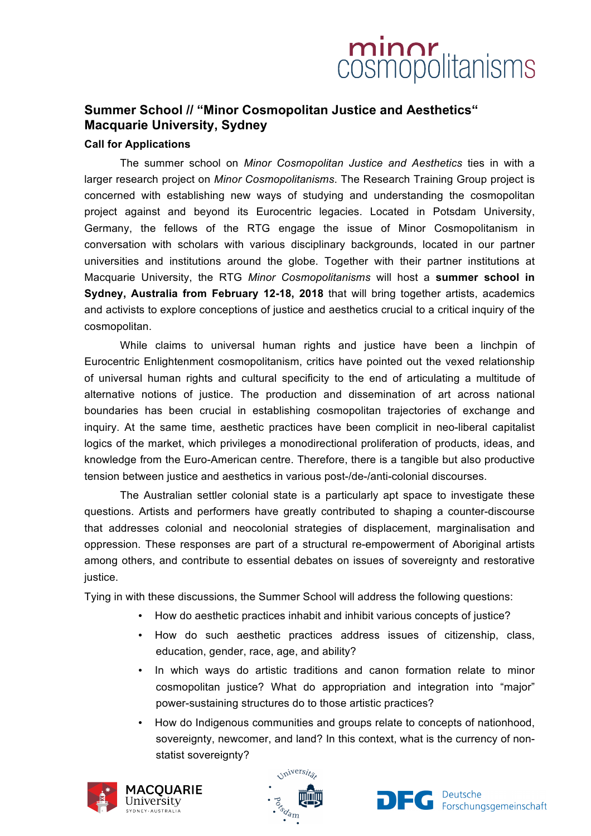## minor<br>cosmopolitanisms

### **Summer School // "Minor Cosmopolitan Justice and Aesthetics" Macquarie University, Sydney**

### **Call for Applications**

The summer school on *Minor Cosmopolitan Justice and Aesthetics* ties in with a larger research project on *Minor Cosmopolitanisms*. The Research Training Group project is concerned with establishing new ways of studying and understanding the cosmopolitan project against and beyond its Eurocentric legacies. Located in Potsdam University, Germany, the fellows of the RTG engage the issue of Minor Cosmopolitanism in conversation with scholars with various disciplinary backgrounds, located in our partner universities and institutions around the globe. Together with their partner institutions at Macquarie University, the RTG *Minor Cosmopolitanisms* will host a **summer school in Sydney, Australia from February 12-18, 2018** that will bring together artists, academics and activists to explore conceptions of justice and aesthetics crucial to a critical inquiry of the cosmopolitan.

While claims to universal human rights and justice have been a linchpin of Eurocentric Enlightenment cosmopolitanism, critics have pointed out the vexed relationship of universal human rights and cultural specificity to the end of articulating a multitude of alternative notions of justice. The production and dissemination of art across national boundaries has been crucial in establishing cosmopolitan trajectories of exchange and inquiry. At the same time, aesthetic practices have been complicit in neo-liberal capitalist logics of the market, which privileges a monodirectional proliferation of products, ideas, and knowledge from the Euro-American centre. Therefore, there is a tangible but also productive tension between justice and aesthetics in various post-/de-/anti-colonial discourses.

The Australian settler colonial state is a particularly apt space to investigate these questions. Artists and performers have greatly contributed to shaping a counter-discourse that addresses colonial and neocolonial strategies of displacement, marginalisation and oppression. These responses are part of a structural re-empowerment of Aboriginal artists among others, and contribute to essential debates on issues of sovereignty and restorative justice.

Tying in with these discussions, the Summer School will address the following questions:

- How do aesthetic practices inhabit and inhibit various concepts of justice?
- How do such aesthetic practices address issues of citizenship, class, education, gender, race, age, and ability?
- In which ways do artistic traditions and canon formation relate to minor cosmopolitan justice? What do appropriation and integration into "major" power-sustaining structures do to those artistic practices?
- How do Indigenous communities and groups relate to concepts of nationhood, sovereignty, newcomer, and land? In this context, what is the currency of nonstatist sovereignty?